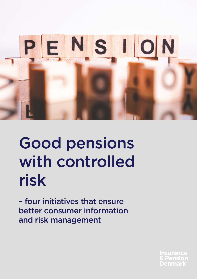

# Good pensions with controlled risk

– four initiatives that ensure better consumer information and risk management

> **Insurance** & Pension Denmark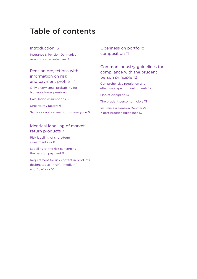# Table of contents

#### [Introduction 3](#page-2-0)

[Insurance & Pension Denmark's](#page-2-0)  [new consumer initiatives 3](#page-2-0)

# [Pension projections with](#page-3-0)  [information on risk](#page-3-0)  [and payment profile 4](#page-3-0)

[Only a very small probability for](#page-3-0) [higher or lower pension 4](#page-3-0)

[Calculation assumptions 5](#page-4-0)

[Uncertainty factors 6](#page-5-0)

[Same calculation method for everyone 6](#page-5-0)

# [Identical labelling of market](#page-6-0)  [return products 7](#page-6-0)

[Risk labelling of short-term](#page-7-0) [investment risk 8](#page-7-0)

[Labelling of the risk concerning](#page-8-0) [the pension payment 9](#page-8-0)

[Requirement for risk content in products](#page-9-0)  [designated as "high", "medium"](#page-9-0)  [and "low" risk 10](#page-9-0)

#### [Openness on portfolio](#page-10-0)  [composition 11](#page-10-0)

## [Common industry guidelines for](#page-11-0)  [compliance with the prudent](#page-11-0)  [person principle 12](#page-11-0)

[Comprehensive regulation and](#page-11-0) [effective inspection instruments 12](#page-11-0)

[Market discipline 13](#page-12-0)

[The prudent person principle 13](#page-12-0)

[Insurance & Pension Denmark's](#page-12-0)  [7 best practice guidelines 13](#page-12-0)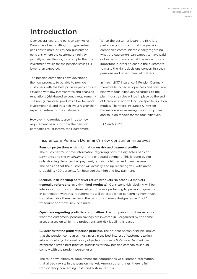# <span id="page-2-0"></span>Introduction

Over several years, the pension savings of Danes have been shifting from guaranteed pensions to more or less non-guaranteed pensions, where the customers – fully or partially – bear the risk, for example, that the investment return for the pension savings is lower than expected.

The pension companies have developed the new products to be able to provide customers with the best possible pensions in a situation with low interest rates and changed regulations (risk-based solvency requirement). The non-guaranteed products allow for more investment risk and thus achieve a higher than expected return for the customers.

However, the products also impose new requirement needs for how the pension companies must inform their customers.

When the customer bears the risk, it is particularly important that the pension companies communicate clearly regarding what the customers can expect to have paid out in pension – and what the risk is. This is important in order to enable the customers to make the right decisions concerning their pensions and other financial matters.

In March 2017, Insurance & Pension Denmark therefore launched an openness and consumer plan with four initiatives. According to the plan, industry rules will be in place by the end of March 2018 and will include specific solution models. Therefore, Insurance & Pension Denmark is now releasing the industry rules and solution models for the four initiatives.

*23 March 2018*

#### Insurance & Pension Denmark's new consumer initiatives

#### **Pension projections with information on risk and payment profile.**

The customer must have information regarding both the *expected* pension payments and the *uncertainty* of the expected payment. This is done by not only showing the expected payment, but also a higher and lower payment. The pension that the customer will actually end up receiving will, with great probability (90 percent), fall between the high and low payment.

**Identical risk labelling of market return products (in other EU markets generally referred to as unit-linked products).** Consistent risk labelling will be introduced for the short-term risk and the risk pertaining to pension payments. In connection with this, requirements will be established concerning how much short-term risk there can be in the pension schemes designated as "high", "medium" and "low" risk, or similar.

**Openness regarding portfolio composition.** The companies must make public what the customers' pension savings are invested in – organised by the same asset classes on which the projections and risk labelling is based.

**Guidelines for the prudent person principle.** The prudent person principle implies that the pension companies must invest in the best interest of customers taking into account any disclosed policy objective. Insurance & Pension Denmark has established seven best practice guidelines for how pension companies should comply with the prudent person rules.

The four new initiatives supplement the comprehensive customer information that already exists in the pension market. Among other things, there is full transparency concerning costs and historic returns.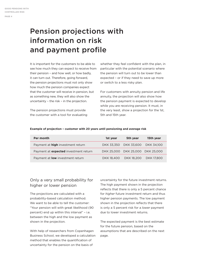# <span id="page-3-0"></span>Pension projections with information on risk and payment profile

It is important for the customers to be able to see how much they can expect to receive from their pension – and how well, or how badly, it can turn out. Therefore, going forward, the pension projections must not only show how much the pension companies expect that the customer will receive in pension, but as something new, they will also show the uncertainty – the risk – in the projection.

The pension projections must provide the customer with a tool for evaluating

whether they feel confident with the plan, in particular with the potential scenario where the pension will turn out to be lower than expected – or if they need to save up more or switch to a less risky plan.

For customers with annuity pension and life annuity, the projection will also show how the pension payment is expected to develop while you are receiving pension. It must, in the very least, show a projection for the 1st, 5th and 15th year.

| Per month                                    | 1st year   | 5th year                         | 15th year  |
|----------------------------------------------|------------|----------------------------------|------------|
| Payment at high investment return            | DKK 33.350 | DKK 33,600                       | DKK 34,100 |
| Payment at <b>expected</b> investment return |            | DKK 25,000 DKK 25,000 DKK 25,000 |            |
| Payment at <b>low</b> investment return      | DKK 18,400 | DKK 18,200                       | DKK 17,800 |

#### **Example of projection – customer with 20 years until pensioning and average risk**

#### Only a very small probability for higher or lower pension

The projections are calculated with a probability-based calculation method. We want to be able to tell the customer: "Your pension will with great likelihood (90 percent) end up within this interval" – i.e. between the high and the low payment as shown in the projection.

With help of researchers from Copenhagen Business School, we developed a calculation method that enables the quantification of uncertainty for the pension on the basis of

uncertainty for the future investment returns. The high payment shown in the projection reflects that there is only a 5 percent chance for *higher* future investment return and thus higher pension payments. The low payment shown in the projection reflects that there is only a 5 percent risk for a *lower* payment due to lower investment returns.

The expected payment is the best estimate for the future pension, based on the assumptions that are described on the next page.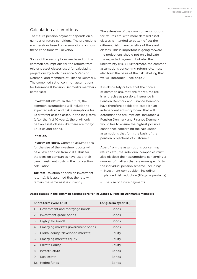#### <span id="page-4-0"></span>Calculation assumptions

The future pension payment depends on a number of future conditions. The projections are therefore based on assumptions on how these conditions will develop.

Some of the assumptions are based on the common assumptions for the returns from relevant asset classes used for calculating projections by both Insurance & Pension Denmark and members of Finance Denmark. The combined set of common assumptions for Insurance & Pension Denmark's members comprises:

- **Investment return.** In the future, the common assumptions will include the expected return and risk assumptions for 10 different asset classes. In the long-term (after the first 10 years), there will only be two asset classes like there are today: Equities and bonds.
- **Inflation.**
- **Investment costs.** Common assumptions for the size of the investment costs will be a new addition from 2019. Thus far, the pension companies have used their own investment costs in their projection calculation.
- **Tax rate** (taxation of pension investment returns). It is assumed that the rate will remain the same as it is currently.

The extension of the common assumptions for returns etc. with more detailed asset classes is intended to better reflect the different risk characteristics of the asset classes. This is important if, going forward, the projections should not only indicate the expected payment, but also the uncertainty (risk). Furthermore, the common assumptions concerning returns etc. must also form the basis of the risk labelling that we will introduce – see page 7.

It is absolutely critical that the choice of common assumptions for returns etc. is as precise as possible. Insurance & Pension Denmark and Finance Denmark have therefore decided to establish an independent advisory board that will determine the assumptions. Insurance & Pension Denmark and Finance Denmark would like to ensure the highest possible confidence concerning the calculation assumptions that form the basis of the pension projections of customers.

Apart from the assumptions concerning returns etc., the individual companies must also disclose their assumptions concerning a number of matters that are more specific to the individual pension scheme, including:

- Investment composition, including planned risk reduction (lifecycle products)
- The size of future payments

| Short-term (year 1-10)                  | Long-term (year 11-) |
|-----------------------------------------|----------------------|
| 1.<br>Government and mortgage bonds     | <b>Bonds</b>         |
| Investment grade bonds<br>2.            | <b>Bonds</b>         |
| High-yield bonds<br>3.                  | <b>Bonds</b>         |
| Emerging markets government bonds<br>4. | <b>Bonds</b>         |
| Global equity (developed markets)<br>5. | Equity               |
| Emerging markets equity<br>6.           | Equity               |
| 7.<br>Private Equity                    | Equity               |
| Infrastructure<br>8.                    | <b>Bonds</b>         |
| Real estate<br>9.                       | <b>Bonds</b>         |
| 10. Hedge funds                         | <b>Bonds</b>         |

#### **Asset classes in the common assumptions for Insurance & Pension Denmark's members**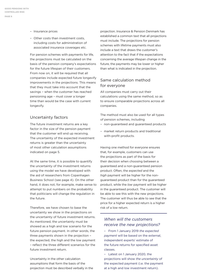- <span id="page-5-0"></span>– Insurance prices
- Other costs than investment costs, including costs for administration of associated insurance coverages etc.

For pension schemes with payments for life, the projections must be calculated on the basis of the pension company's expectations for the future lifespan of their customers. From now on, it will be required that all companies include expected future longevify improvements in the projections. This means that they must take into account that the savings – when the customer has reached pensioning age – must cover a longer time than would be the case with current longevify.

#### Uncertainty factors

The future investment returns are a key factor in the size of the pension payment that the customer will end up receiving. The uncertainty of the expected investment returns is greater than the uncertainty of most other calculation assumptions indicated on page 5.

At the same time, it is possible to quantify the uncertainty of the investment returns using the model we have developed with the aid of researchers from Copenhagen Business School (see page 4). On the other hand, it does not, for example, make sense to attempt to put numbers on the probability that politicians will change the regulation in the future.

Therefore, we have chosen to base the uncertainty we show in the projections on the uncertainty of future investment returns. As mentioned, the uncertainty must be showed as a high and low scenario for the future pension payment. In other words, the three payments shown in the projection – the expected, the high and the low payment – reflect the three different scenarios for the future investment return.

Uncertainty in the other calculation assumptions that form the basis of the projection must be described verbally in the

projection. Insurance & Pension Denmark has established a common text that all projections must include. The projections for pension schemes with lifetime payments must also include a text that draws the customer's attention to the fact that if the expectations concerning the average lifespan change in the future, the payments may be lower or higher than what is indicated in the projection.

# Same calculation method for everyone

All companies must carry out their calculations using the same method, so as to ensure comparable projections across all companies.

The method must also be used for all types of pension schemes, including

- non-guaranteed and guaranteed products
- market return products and traditional with-profit products.

Having one method for everyone ensures that, for example, customers can use the projections as part of the basis for their decision when choosing between a guaranteed and a non-guaranteed pension product. Often, the *expected* and the *high* payment will be higher for the nonguaranteed product than for the guaranteed product, while the *low* payment will be higher in the guaranteed product. The customer will be able to see this with the new projections. The customer will thus be able to see that the price for a higher expected return is a higher risk of a low return.

#### *When will the customers receive the new projections?*

– From 1 January 2019 *the expected payment* will be based on the external, independent experts' estimate of the future returns for specified asset classes.

– Latest on 1 January 2020, the projections will show *the uncertainty* of the expected payment (i.e. the payment at a high and low investment return).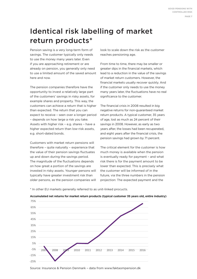# <span id="page-6-0"></span>Identical risk labelling of market return products\*

Pension saving is a very long-term form of savings. The customer typically only needs to use the money many years later. Even if you are approaching retirement or are already on pension, you generally only need to use a limited amount of the saved amount here and now.

The pension companies therefore have the opportunity to invest a relatively large part of the customers' savings in risky assets, for example shares and property. This way, the customers can achieve a return that is higher than expected. The return that you can expect to receive – seen over a longer period – depends on how large a risk you take. Assets with higher risk – e.g. shares – have a higher expected return than low-risk assets, e.g. short-dated bonds.

Customers with market return pensions will therefore – quite naturally – experience that the value of their pension savings fluctuates up and down during the savings period. The magnitude of the fluctuations depends on how great a portion of the savings are invested in risky assets. Younger persons will typically have greater investment risk than older persons, as the pension companies will look to scale down the risk as the customer reaches pensioning age.

From time to time, there may be smaller or greater dips in the financial markets, which lead to a reduction in the value of the savings of market return customers. However, the financial markets usually recover quickly. And if the customer only needs to use the money many years later, the fluctuations have no real significance to the customer.

The financial crisis in 2008 resulted in big negative returns for non-guaranteed market return products. A typical customer, 35 years of age, lost as much as 24 percent of their savings in 2008. However, as early as two years after, the losses had been recuperated, and eight years after the financial crisis, the pension savings had grown by 71 percent.

The critical element for the customer is how much money is available when the pension is eventually ready for payment – and what risk there is for the payment amount to be lower than expected. This is precisely what the customer will be informed of in the future, via the three numbers in the pension projection: The expected payment and the

\* In other EU markets generally referred to as unit-linked procucts.



Accumulated net returns for market return products (typical customer 35 years old, entire industry)

Source: Insurance & Pension Denmark – data from www.faktaompension.dk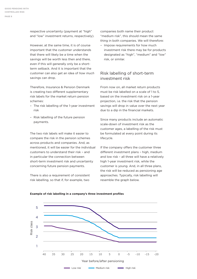<span id="page-7-0"></span>respective uncertainty (payment at "high" and "low" investment returns, respectively).

However, at the same time, it is of course important that the customer understands that there will likely be a time when the savings will be worth less then and there, even if this will generally only be a shortterm setback. And it is important that the customer can also get an idea of *how much* savings can drop.

Therefore, Insurance & Pension Denmark is creating two different supplementary risk labels for the market return pension schemes:

- The risk labelling of the 1-year investment risk
- Risk labelling of the future pension payments.

The two risk labels will make it easier to compare the risk in the pension schemes across products and companies. And, as mentioned, it will be easier for the individual customers to understand their risk – and in particular the connection between short-term investment risk and uncertainty concerning future pension payments.

There is also a requirement of consistent risk labelling, so that if, for example, two

companies both name their product "medium risk", this should mean the same thing in both companies. We will therefore:

– Impose requirements for how much investment risk there may be for products designated as "high", "medium" and "low" risk, or similar.

## Risk labelling of short-term investment risk

From now on, all market return products must be risk labelled on a scale of 1 to 5, based on the investment risk on a 1-year projection, i.e. the risk that the pension savings will drop in value over the next year due to a dip in the financial markets.

Since many products include an automatic scale-down of investment risk as the customer ages, a labelling of the risk must be formulated at every point during its lifecycle.

If the company offers the customer three different investment plans – high, medium and low risk – all three will have a relatively high 1-year investment risk, while the customer is young. And, in all three plans, the risk will be reduced as pensioning age approaches. Typically, risk labelling will resemble the graph below.



**Example of risk labelling in a company's three investment profiles**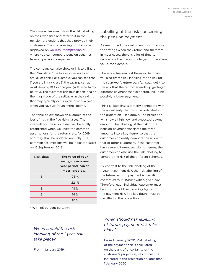<span id="page-8-0"></span>The companies must show the risk labelling on their websites and refer to it in the pension projections that they provide their customers. The risk labelling must also be displayed on [www.faktaompension.dk](http://www.faktaompension.dk), where you can compare pension schemes from all pension companies.

The company can also show or link to a figure that "translates" the five risk classes to an actual loss risk. For example, you can see that if you are in risk class 3, the savings can at most drop by 18% in one year (with a certainty of 95%). The customer can thus get an idea of the magnitude of the setbacks in the savings that may typically occur in an individual year when you save up for an entire lifetime.

The table below shows an example of the loss of risk in the five risk classes. The intervals for the risk classes will be finally established when we know the common assumptions for the returns etc. for 2019, and they shall be updated annually. The common assumptions will be indicated latest on 15 September 2018.

| <b>Risk class</b> | The value of your<br>savings over a one<br>year period can at<br>most* drop by |  |  |  |
|-------------------|--------------------------------------------------------------------------------|--|--|--|
| 5                 | 26 %                                                                           |  |  |  |
| 4                 | $22\%$                                                                         |  |  |  |
| 3                 | $18\%$                                                                         |  |  |  |
| $\mathcal{P}$     | 14%                                                                            |  |  |  |
| 1                 | $10\%$                                                                         |  |  |  |

\* With 95 percent certainty

# *When should the risk labelling of the 1 year risk take place?*

From 1 January 2019.

#### Labelling of the risk concerning the pension payment

As mentioned, the customers must first use the savings when they retire, and therefore, in most cases, there is a lot of time to recuperate the losses of a large drop in share value, for example.

Therefore, Insurance & Pension Denmark will also create risk labelling of the risk for the *customer's future pension payment* – i.e. the risk that the customer ends up getting a different payment than expected, including possibly a lower payment.

This risk labelling is directly connected with the uncertainty that must be indicated in the projection – see above. The projection will show a high, low and expected payment amount. The labelling of the risk of the pension payment translates the three amounts into a key figure, so that the customer can easily compare the risk with that of other customers. If the customer has several different pension schemes, the customer can also use the risk labelling to compare the risk of the different schemes.

By contrast to the risk labelling of the 1-year investment risk, the risk labelling of the future pension payment is specific to *the individual customer* with a given age. Therefore, each individual customer must be informed of their own key figure for the payment risk. The key figure must be specified in the projection.

## *When should risk labelling of future payment risk take place?*

From 1 January 2020. Risk labelling of the payment risk is calculated on the basis of uncertainty of the customer's projection, which must be indicated in the projection no later than 1 January 2020.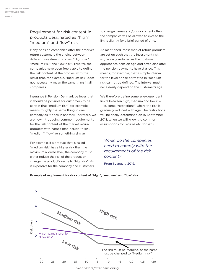# <span id="page-9-0"></span>Requirement for risk content in products designated as "high", "medium" and "low" risk

Many pension companies offer their market return customers the choice between different investment profiles: "High risk", "medium risk" and "low risk". Thus far, the companies have been freely able to define the risk content of the profiles, with the result that, for example, "medium risk" does not necessarily mean the same thing in all companies.

Insurance & Pension Denmark believes that it should be possible for customers to be certain that "medium risk", for example, means roughly the same thing in one company as it does in another. Therefore, we are now introducing common requirements for the risk content of the market return products with names that include "high", "medium", "low" or something similar.

For example, if a product that is called "medium risk" has a higher risk than the maximum allowed level, the company must either reduce the risk of the product or change the product's name to "high risk". As it is expensive for the company and customers

to change names and/or risk content often, the companies will be allowed to exceed the limits slightly for a brief period of time.

As mentioned, most market return products are set up such that the investment risk is gradually reduced as the customer approaches pension age and often also after the pension payments have started. This means, for example, that a simple interval for the level of risk permitted in "medium" risk cannot be defined. The interval must necessarily depend on the customer's age.

We therefore define some age-dependent limits between high, medium and low risk – i.e. some "restrictions" where the risk is gradually reduced with age. The restrictions will be finally determined on 15 September 2018, when we will know the common assumptions for returns etc. for 2019.

## *When do the companies need to comply with the requirements of the risk content?*

From 1 January 2019.



#### **Example of requirement for risk content of "high", "medium" and "low" risk**

Year before/after pensioning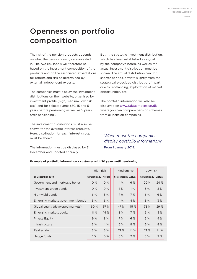# <span id="page-10-0"></span>Openness on portfolio composition

The risk of the pension products depends on what the pension savings are invested in. The two risk labels will therefore be based on the investment composition of the products and on the associated expectations for returns and risk as determined by external, independent experts.

The companies must display the investment distributions on their website, organised by investment profile (high, medium, low risk, etc.) and for selected ages (30, 15 and 5 years before pensioning as well as 5 years after pensioning).

The investment distributions must also be shown for the average interest products. Here, distribution for each interest group must be shown.

The information must be displayed by 31 December and updated annually.

Both the strategic investment distribution, which has been established as a goal by the company's board, as well as the actual investment distribution must be shown. The actual distribution can, for shorter periods, deviate slightly from the strategically-decided distribution, in part due to rebalancing, exploitation of market opportunities, etc.

The portfolio information will also be displayed on [www.faktaompension.dk](http://www.faktaompension.dk), where you can compare pension schemes from all pension companies.

# *When must the companies display portfolio information?*

From 1 January 2019.

|                                   | High risk                   |      | Medium risk                 |      | Low risk                    |      |  |
|-----------------------------------|-----------------------------|------|-----------------------------|------|-----------------------------|------|--|
| 31 December 2018                  | <b>Strategically Actual</b> |      | <b>Strategically Actual</b> |      | <b>Strategically Actual</b> |      |  |
| Government and mortgage bonds     | O%                          | O%   | 4 %                         | 6 %  | 20 %                        | 24 % |  |
| Investment grade bonds            | O%                          | O%   | 1%                          | 1%   | 5 %                         | 5 %  |  |
| High-yield bonds                  | 6 %                         | 5 %  | 7%                          | 7%   | 6 %                         | 6 %  |  |
| Emerging markets government bonds | 5 %                         | 6 %  | 4 %                         | 4 %  | 3 %                         | 3 %  |  |
| Global equity (developed markets) | 60 %                        | 57 % | 47 %                        | 45 % | 33 %                        | 29 % |  |
| Emerging markets equity           | 11%                         | 14 % | 8 %                         | 7%   | 6 %                         | 5 %  |  |
| <b>Private Equity</b>             | 9%                          | 8 %  | 7%                          | 6 %  | 5 %                         | 4 %  |  |
| Infrastructure                    | 3%                          | 4%   | 6 %                         | 8 %  | 6 %                         | 8 %  |  |
| Real estate                       | 5 %                         | 6 %  | 13%                         | 14 % | 13 %                        | 14%  |  |
| Hedge funds                       | $1\%$                       | 0%   | 3 %                         | 2%   | 3 %                         | 2%   |  |

#### **Example of portfolio information – customer with 30 years until pensioning.**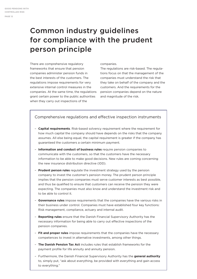# <span id="page-11-0"></span>Common industry guidelines for compliance with the prudent person principle

There are comprehensive regulatory frameworks that ensure that pension companies administer pension funds in the best interests of the customers. The regulations impose requirements for very extensive internal control measures in the companies. At the same time, the regulations grant certain power to the public authorities when they carry out inspections of the

companies.

The regulations are risk-based. The regulations focus on that the management of the companies must understand the risk that they take on behalf of the company and the customers. And the requirements for the pension companies depend on the nature and magnitude of the risk.

## Comprehensive regulations and effective inspection instruments

- **Capital requirements**. Risk-based solvency requirement where the requirement for how much capital the company should have depends on the risks that the company assumes. All else being equal, the capital requirement is greater if the company has guaranteed the customers a certain minimum payment.
- **Information and conduct of business rules** require pension companies to communicate with the customers, so that the customers have the necessary information to be able to make good decisions. New rules are coming concerning the new insurance distribution directive (IDD).
- **Prudent person rules** regulate the investment strategy used by the pension company to invest the customer's pension money. The prudent person principle implies that the pension companies must serve customer interests as best possible, and thus be qualified to ensure that customers can receive the pension they were expecting. The companies must also know and understand the investment risk and to be able to control it.
- **Governance rules** impose requirements that the companies have the various risks in their business under control. Companies must have established four key functions: Risk management, compliance, actuary and internal audit.
- **Reporting rules** ensure that the Danish Financial Supervisory Authority has the necessary information for being able to carry out effective inspections of the pension companies.
- **Fit and proper rules** impose requirements that the companies have the necessary competences to invest in alternative investments, among other things.
- **The Danish Pension Tax Act** includes rules that establish frameworks for the payment profile for life annuity and annuity pension.
- Furthermore, the Danish Financial Supervisory Authority has the **general authority** to, simply put, "ask about everything, be provided with everything and gain access to everything."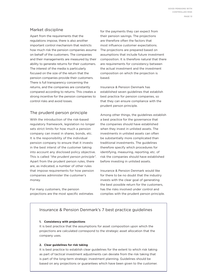#### <span id="page-12-0"></span>Market discipline

Apart from the requirements that the regulations impose, there is also another important control mechanism that restricts how much risk the pension companies assume on behalf of the customers. The companies and their managements are measured by their ability to generate returns for their customers. The interest of the media is particularly focused on the size of the return that the pension companies provide their customers. There is full transparency concerning the returns, and the companies are constantly compared according to returns. This creates a strong incentive for the pension companies to control risks and avoid losses.

### The prudent person principle

With the introduction of the risk-based regulatory framework, legislation no longer sets strict limits for how much a pension company can invest in shares, bonds, etc. It is the responsibility of the individual pension company to ensure that it invests in the best interst of the customer taking into account any disclosed policy objective. This is called *"the prudent person principle".*  Apart from the prudent person rules, there are, as indicated, a number of other rules that impose requirements for how pension companies administer the customer's money.

For many customers, the pension projections are the most specific estimates

for the payments they can expect from their pension savings. The projections are therefore often the factors that most influence customer expectations. The projections are prepared based on assumptions that include future investment composition. It is therefore natural that there are requirements for consistency between the actual investment and the investment composition on which the projection is based.

Insurance & Pension Denmark has established seven guidelines that establish best practice for pension companies, so that they can ensure compliance with the prudent person principle.

Among other things, the guidelines establish a best practice for the governance that the companies should have established when they invest in unlisted assets. The investments in unlisted assets can often be substantially more complicated than traditional investments. The guidelines therefore specify which procedures for identifying, measuring, reporting, etc. of risk the companies should have established before investing in unlisted assets.

Insurance & Pension Denmark would like for there to be no doubt that the industry invests with the clear goal of generating the best possible return for the customers, has the risks involved under control and complies with the prudent person principle.

### Insurance & Pension Denmark's 7 best practice guidelines

#### **1. Consistency with projections**

It is best practice that the assumptions for asset composition upon which the projections are calculated correspond to the strategic asset allocation that the company uses.

#### **2. Clear guidelines for risk taking**

It is best practice to establish clear guidelines for the extent to which risk taking as part of tactical investment adjustments can deviate from the risk taking that is part of the long-term strategic investment planning. Guidelines should be based on any projections or guarantees which have been given to the customer.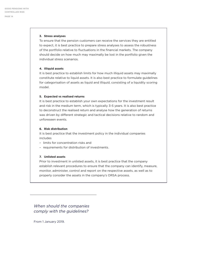#### **3. Stress analyses**

To ensure that the pension customers can receive the services they are entitled to expect, it is best practice to prepare stress analyses to assess the robustness of the portfolio relative to fluctuations in the financial markets. The company should decide on how much may maximally be lost in the portfolio given the individual stress scenarios.

#### **4. Illiquid assets**

It is best practice to establish limits for how much illiquid assets may maximally constitute relative to liquid assets. It is also best practice to formulate guidelines for categorisation of assets as liquid and illiquid, consisting of a liquidity scoring model.

#### **5. Expected vs realised returns**

It is best practice to establish your own expectations for the investment result and risk in the medium term, which is typically 3-5 years. It is also best practice to deconstruct the realised return and analyse how the generation of returns was driven by different strategic and tactical decisions relative to random and unforeseen events.

#### **6. Risk distribution**

It is best practice that the investment policy in the individual companies includes

- limits for concentration risks and
- requirements for distribution of investments.

#### **7. Unlisted assets**

Prior to investment in unlisted assets, it is best practice that the company establish relevant procedures to ensure that the company can identify, measure, monitor, administer, control and report on the respective assets, as well as to properly consider the assets in the company's ORSA process.

*When should the companies comply with the guidelines?*

From 1 January 2019.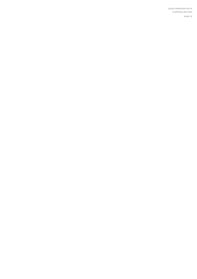**GOOD PENSIONS WITH CONTROLLED RISK**

**PAGE 15**